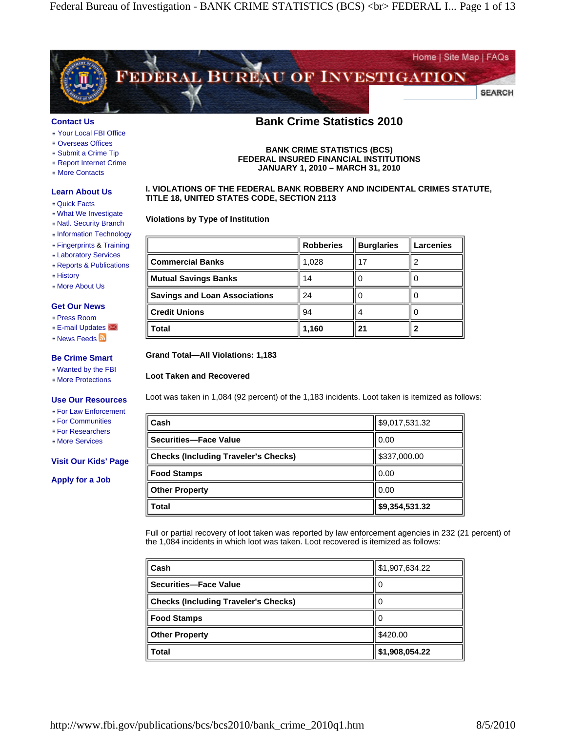

#### **Contact Us**

- Your Local FBI Office
- Overseas Offices
- Submit a Crime Tip
- Report Internet Crime
- More Contacts

### **Learn About Us**

- Quick Facts
- What We Investigate
- Natl. Security Branch
- Information Technology
- Fingerprints & Training
- Laboratory Services
- Reports & Publications
- History
- More About Us

#### **Get Our News**

- Press Room
- E-mail Updates
- News Feeds **N**

#### **Be Crime Smart**

- Wanted by the FBI
- More Protections

#### **Use Our Resources**

- For Law Enforcement
- For Communities
- For Researchers
- More Services

#### **Visit Our Kids' Page**

**Apply for a Job**

# **Bank Crime Statistics 2010**

**BANK CRIME STATISTICS (BCS) FEDERAL INSURED FINANCIAL INSTITUTIONS JANUARY 1, 2010 – MARCH 31, 2010**

### **I. VIOLATIONS OF THE FEDERAL BANK ROBBERY AND INCIDENTAL CRIMES STATUTE, TITLE 18, UNITED STATES CODE, SECTION 2113**

### **Violations by Type of Institution**

|                                      | <b>Robberies</b> | <b>Burglaries</b> | <b>Larcenies</b> |
|--------------------------------------|------------------|-------------------|------------------|
| <b>Commercial Banks</b>              | 1,028            |                   |                  |
| <b>Mutual Savings Banks</b>          | 14               |                   |                  |
| <b>Savings and Loan Associations</b> | 24               |                   |                  |
| <b>Credit Unions</b>                 | 94               |                   |                  |
| <b>Total</b>                         | 1,160            | 21                |                  |

#### **Grand Total—All Violations: 1,183**

#### **Loot Taken and Recovered**

Loot was taken in 1,084 (92 percent) of the 1,183 incidents. Loot taken is itemized as follows:

| <b>Total</b>                                | \$9,354,531.32 |
|---------------------------------------------|----------------|
| <b>Other Property</b>                       | 0.00           |
| <b>Food Stamps</b>                          | 0.00           |
| <b>Checks (Including Traveler's Checks)</b> | \$337,000.00   |
| <b>Securities-Face Value</b>                | 0.00           |
| Cash                                        | \$9,017,531.32 |

Full or partial recovery of loot taken was reported by law enforcement agencies in 232 (21 percent) of the 1,084 incidents in which loot was taken. Loot recovered is itemized as follows:

| Cash                                        | \$1,907,634.22 |
|---------------------------------------------|----------------|
| Securities-Face Value                       | U              |
| <b>Checks (Including Traveler's Checks)</b> | U              |
| <b>Food Stamps</b>                          | U              |
| <b>Other Property</b>                       | \$420.00       |
| Total                                       | \$1,908,054.22 |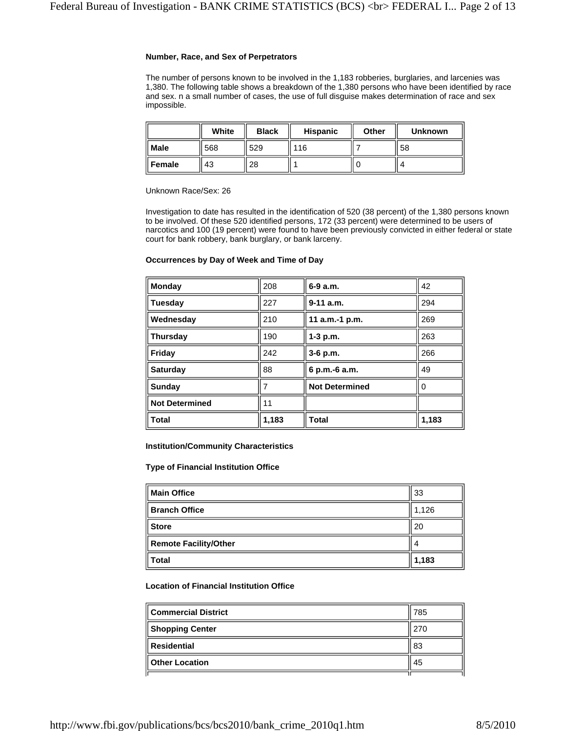### **Number, Race, and Sex of Perpetrators**

The number of persons known to be involved in the 1,183 robberies, burglaries, and larcenies was 1,380. The following table shows a breakdown of the 1,380 persons who have been identified by race and sex. n a small number of cases, the use of full disguise makes determination of race and sex impossible.

|             | White | <b>Black</b> | <b>Hispanic</b> | Other | <b>Unknown</b> |
|-------------|-------|--------------|-----------------|-------|----------------|
| <b>Male</b> | 568   | 529          | 116             |       | l 58           |
| Female      | 43    | 28           |                 |       | ∠              |

Unknown Race/Sex: 26

Investigation to date has resulted in the identification of 520 (38 percent) of the 1,380 persons known to be involved. Of these 520 identified persons, 172 (33 percent) were determined to be users of narcotics and 100 (19 percent) were found to have been previously convicted in either federal or state court for bank robbery, bank burglary, or bank larceny.

### **Occurrences by Day of Week and Time of Day**

| <b>Monday</b>         | 208   | $6-9a.m.$             | 42    |
|-----------------------|-------|-----------------------|-------|
| <b>Tuesday</b>        | 227   | $9-11$ a.m.           | 294   |
| Wednesday             | 210   | 11 a.m.-1 p.m.        | 269   |
| Thursday              | 190   | 1-3 p.m.              | 263   |
| Friday                | 242   | 3-6 p.m.              | 266   |
| <b>Saturday</b>       | 88    | 6 p.m.-6 a.m.         | 49    |
| Sunday                | 7     | <b>Not Determined</b> | 0     |
| <b>Not Determined</b> | 11    |                       |       |
| <b>Total</b>          | 1,183 | <b>Total</b>          | 1,183 |

**Institution/Community Characteristics**

**Type of Financial Institution Office**

| <b>Main Office</b>           | 33    |
|------------------------------|-------|
| <b>Branch Office</b>         | 1,126 |
| <b>Store</b>                 | 20    |
| <b>Remote Facility/Other</b> |       |
| <b>Total</b>                 | 1,183 |

## **Location of Financial Institution Office**

| <b>Commercial District</b> | 785 |
|----------------------------|-----|
| <b>Shopping Center</b>     | 270 |
| <b>Residential</b>         | 83  |
| <b>Other Location</b>      | -45 |
|                            |     |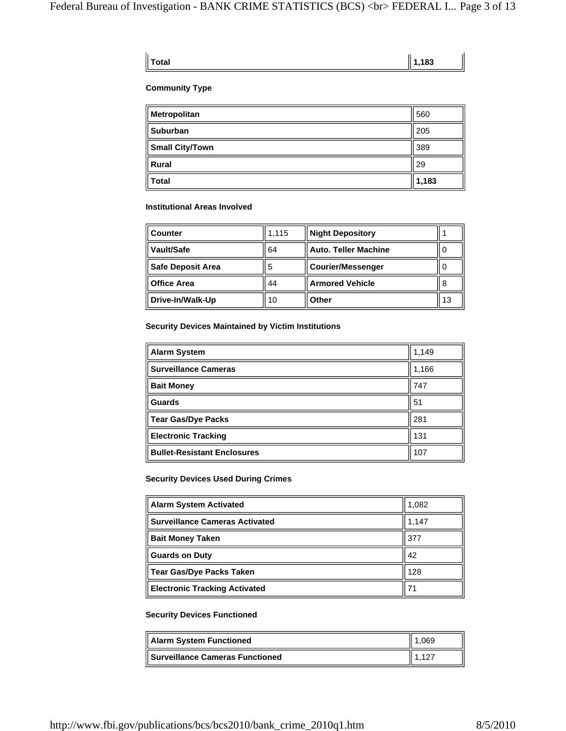### **Total 1,183**

## **Community Type**

| Metropolitan           | 560   |
|------------------------|-------|
| <b>Suburban</b>        | 205   |
| <b>Small City/Town</b> | 389   |
| <b>Rural</b>           | 29    |
| <b>Total</b>           | 1,183 |

### **Institutional Areas Involved**

| ∣ Counter          | 1.115 | <b>Night Depository</b>     |    |
|--------------------|-------|-----------------------------|----|
| Vault/Safe         | 64    | <b>Auto. Teller Machine</b> | 0  |
| Safe Deposit Area  | 5     | <b>Courier/Messenger</b>    | 0  |
| <b>Office Area</b> | 44    | <b>Armored Vehicle</b>      | 8  |
| Drive-In/Walk-Up   | 10    | Other                       | 13 |

## **Security Devices Maintained by Victim Institutions**

| Alarm System                       | 1,149 |
|------------------------------------|-------|
| <b>Surveillance Cameras</b>        | 1,166 |
| <b>Bait Money</b>                  | 747   |
| <b>Guards</b>                      | 51    |
| ∥ Tear Gas/Dye Packs               | 281   |
| <b>Electronic Tracking</b>         | 131   |
| <b>Bullet-Resistant Enclosures</b> | 107   |

## **Security Devices Used During Crimes**

| Alarm System Activated         | 1,082 |
|--------------------------------|-------|
| Surveillance Cameras Activated | 1,147 |
| <b>Bait Money Taken</b>        | 377   |
| Guards on Duty                 | 42    |
| ∥ Tear Gas/Dye Packs Taken     | 128   |
| Electronic Tracking Activated  | 71    |

## **Security Devices Functioned**

| Alarm System Functioned                | .069 |
|----------------------------------------|------|
| <b>Surveillance Cameras Functioned</b> |      |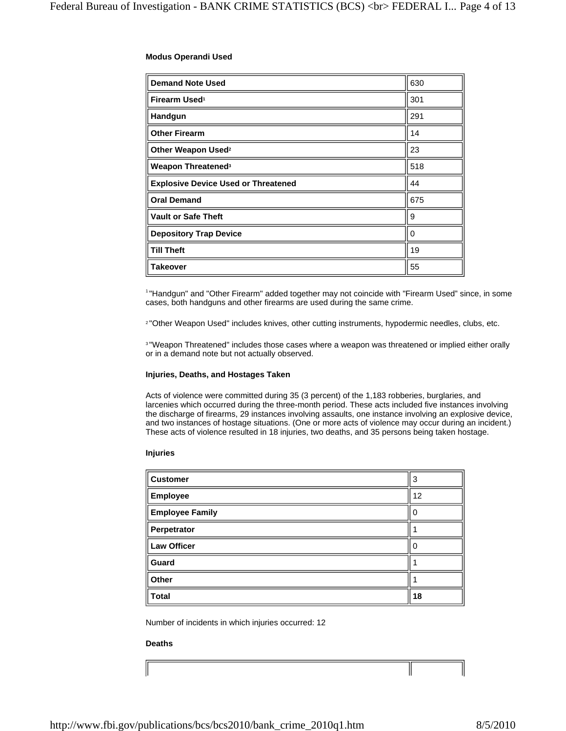## **Modus Operandi Used**

| <b>Demand Note Used</b>                    | 630      |
|--------------------------------------------|----------|
| Firearm Used <sup>1</sup>                  | 301      |
| Handgun                                    | 291      |
| <b>Other Firearm</b>                       | 14       |
| Other Weapon Used <sup>2</sup>             | 23       |
| Weapon Threatened <sup>3</sup>             | 518      |
| <b>Explosive Device Used or Threatened</b> | 44       |
| <b>Oral Demand</b>                         | 675      |
| <b>Vault or Safe Theft</b>                 | 9        |
| <b>Depository Trap Device</b>              | $\Omega$ |
| <b>Till Theft</b>                          | 19       |
| Takeover                                   | 55       |

1 "Handgun" and "Other Firearm" added together may not coincide with "Firearm Used" since, in some cases, both handguns and other firearms are used during the same crime.

<sup>2</sup> "Other Weapon Used" includes knives, other cutting instruments, hypodermic needles, clubs, etc.

3 "Weapon Threatened" includes those cases where a weapon was threatened or implied either orally or in a demand note but not actually observed.

## **Injuries, Deaths, and Hostages Taken**

Acts of violence were committed during 35 (3 percent) of the 1,183 robberies, burglaries, and larcenies which occurred during the three-month period. These acts included five instances involving the discharge of firearms, 29 instances involving assaults, one instance involving an explosive device, and two instances of hostage situations. (One or more acts of violence may occur during an incident.) These acts of violence resulted in 18 injuries, two deaths, and 35 persons being taken hostage.

### **Injuries**

| <b>Customer</b>        | 3  |
|------------------------|----|
| <b>Employee</b>        | 12 |
| <b>Employee Family</b> |    |
| Perpetrator            |    |
| <b>Law Officer</b>     |    |
| Guard                  |    |
| Other                  |    |
| <b>Total</b>           | 18 |

Number of incidents in which injuries occurred: 12

## **Deaths**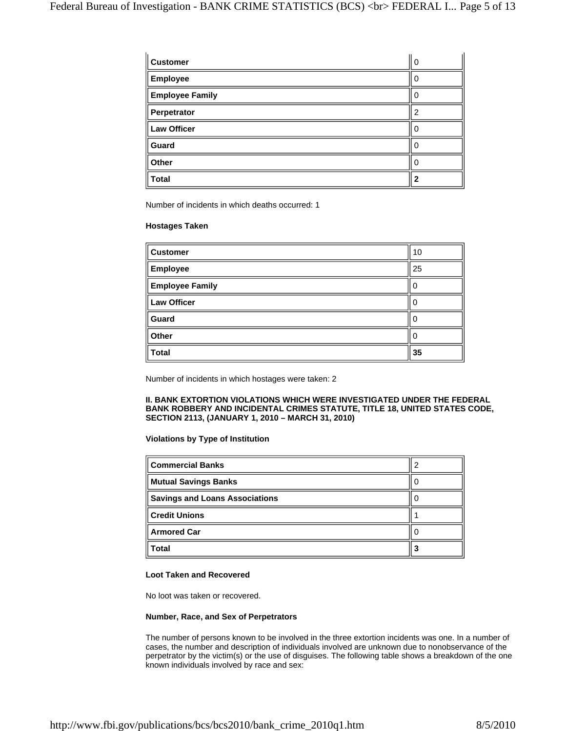| <b>Customer</b>        | U |
|------------------------|---|
| <b>Employee</b>        | 0 |
| <b>Employee Family</b> | 0 |
| Perpetrator            |   |
| <b>Law Officer</b>     | 0 |
| Guard                  |   |
| Other                  |   |
| <b>Total</b>           | 2 |

Number of incidents in which deaths occurred: 1

#### **Hostages Taken**

| <b>Customer</b>        | 10 |
|------------------------|----|
| <b>Employee</b>        | 25 |
| <b>Employee Family</b> | 0  |
| <b>Law Officer</b>     | O  |
| Guard                  | O  |
| Other                  | 0  |
| <b>Total</b>           | 35 |

Number of incidents in which hostages were taken: 2

### **II. BANK EXTORTION VIOLATIONS WHICH WERE INVESTIGATED UNDER THE FEDERAL BANK ROBBERY AND INCIDENTAL CRIMES STATUTE, TITLE 18, UNITED STATES CODE, SECTION 2113, (JANUARY 1, 2010 – MARCH 31, 2010)**

#### **Violations by Type of Institution**

| <b>Commercial Banks</b>               |  |
|---------------------------------------|--|
| <b>Mutual Savings Banks</b>           |  |
| <b>Savings and Loans Associations</b> |  |
| <b>Credit Unions</b>                  |  |
| <b>Armored Car</b>                    |  |
| Total                                 |  |

### **Loot Taken and Recovered**

No loot was taken or recovered.

## **Number, Race, and Sex of Perpetrators**

The number of persons known to be involved in the three extortion incidents was one. In a number of cases, the number and description of individuals involved are unknown due to nonobservance of the perpetrator by the victim(s) or the use of disguises. The following table shows a breakdown of the one known individuals involved by race and sex: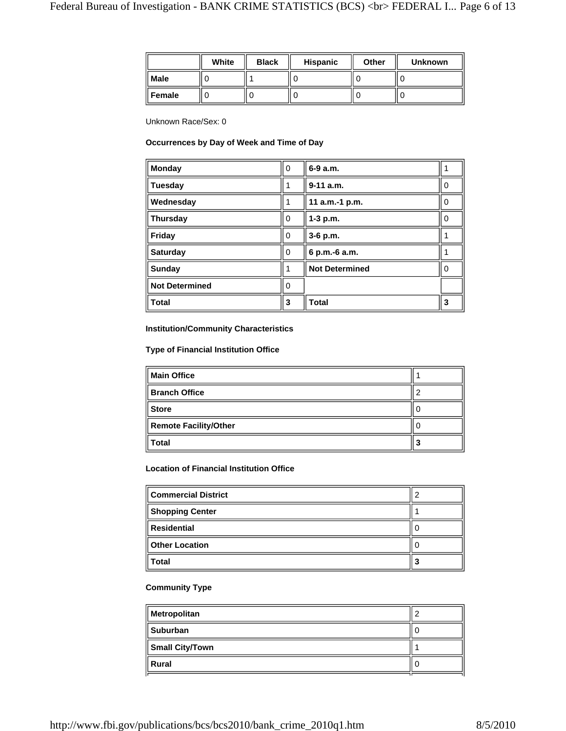|             | White | <b>Black</b> | Hispanic | Other | <b>Unknown</b> |
|-------------|-------|--------------|----------|-------|----------------|
| <b>Male</b> |       |              |          |       |                |
| Female      |       |              |          |       |                |

Unknown Race/Sex: 0

## **Occurrences by Day of Week and Time of Day**

| <b>Monday</b>         | $\mathbf 0$ | 6-9 a.m.              |   |
|-----------------------|-------------|-----------------------|---|
| <b>Tuesday</b>        |             | $9-11$ a.m.           | 0 |
| Wednesday             |             | 11 a.m.-1 p.m.        | 0 |
| <b>Thursday</b>       | 0           | 1-3 p.m.              | 0 |
| Friday                | 0           | 3-6 p.m.              |   |
| <b>Saturday</b>       | 0           | 6 p.m.-6 a.m.         |   |
| <b>Sunday</b>         |             | <b>Not Determined</b> | ∩ |
| <b>Not Determined</b> |             |                       |   |
| <b>Total</b>          | 3           | <b>Total</b>          | 3 |

## **Institution/Community Characteristics**

## **Type of Financial Institution Office**

| <b>Main Office</b>           |   |
|------------------------------|---|
| <b>Branch Office</b>         |   |
| <b>Store</b>                 |   |
| <b>Remote Facility/Other</b> |   |
| <b>Total</b>                 | J |

## **Location of Financial Institution Office**

| <b>Commercial District</b> |   |
|----------------------------|---|
| <b>Shopping Center</b>     |   |
| <b>Residential</b>         |   |
| <b>Other Location</b>      |   |
| <b>Total</b>               | 3 |

## **Community Type**

| <b>Suburban</b>        |  |
|------------------------|--|
| <b>Small City/Town</b> |  |
| Rural                  |  |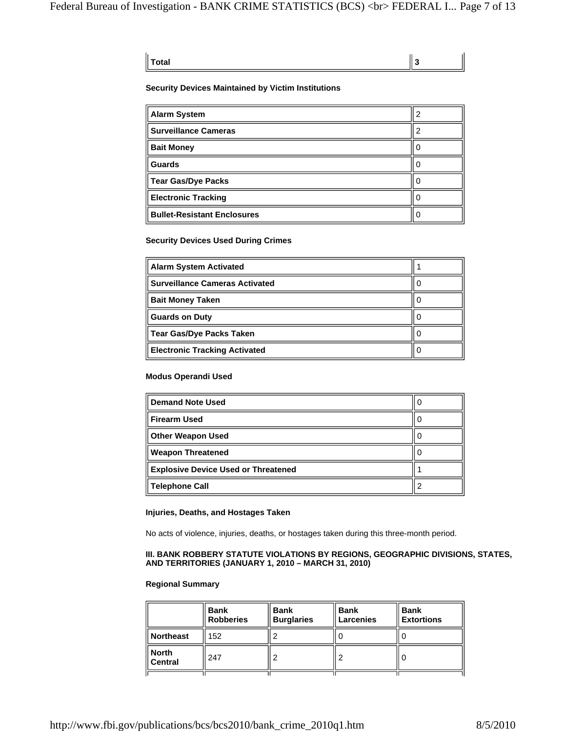| $\ $ Total |  | ∥з |
|------------|--|----|

### **Security Devices Maintained by Victim Institutions**

| Alarm System                       | 2 |
|------------------------------------|---|
| <b>Surveillance Cameras</b>        |   |
| <b>Bait Money</b>                  |   |
| <b>Guards</b>                      |   |
| Tear Gas/Dye Packs                 |   |
| <b>Electronic Tracking</b>         |   |
| <b>Bullet-Resistant Enclosures</b> |   |

## **Security Devices Used During Crimes**

| <b>Alarm System Activated</b>         |  |
|---------------------------------------|--|
| <b>Surveillance Cameras Activated</b> |  |
| <b>Bait Money Taken</b>               |  |
| <b>Guards on Duty</b>                 |  |
| Tear Gas/Dye Packs Taken              |  |
| <b>Electronic Tracking Activated</b>  |  |

## **Modus Operandi Used**

| <b>Demand Note Used</b>                    | U |
|--------------------------------------------|---|
| Firearm Used                               | U |
| <b>Other Weapon Used</b>                   |   |
| <b>Weapon Threatened</b>                   |   |
| <b>Explosive Device Used or Threatened</b> |   |
| Telephone Call                             |   |

## **Injuries, Deaths, and Hostages Taken**

No acts of violence, injuries, deaths, or hostages taken during this three-month period.

### **III. BANK ROBBERY STATUTE VIOLATIONS BY REGIONS, GEOGRAPHIC DIVISIONS, STATES, AND TERRITORIES (JANUARY 1, 2010 – MARCH 31, 2010)**

#### **Regional Summary**

|                      | <b>Bank</b><br><b>Robberies</b> | <b>Bank</b><br><b>Burglaries</b> | <b>Bank</b><br>Larcenies | <b>Bank</b><br><b>Extortions</b> |
|----------------------|---------------------------------|----------------------------------|--------------------------|----------------------------------|
| Northeast            | 152                             |                                  |                          |                                  |
| ∥ North<br>∥ Central | 247                             | ◠                                |                          |                                  |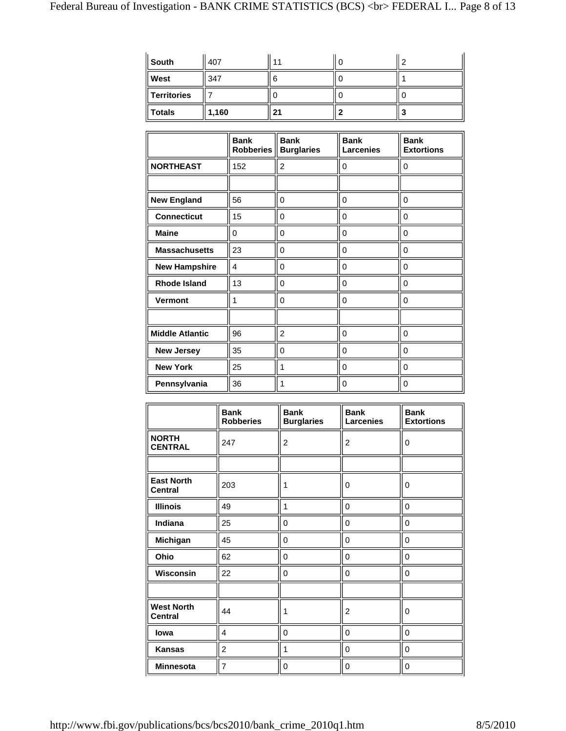| ∥ South     | 407   | 11 | c |
|-------------|-------|----|---|
| West        | 347   | 6  |   |
| Territories |       |    |   |
| ∥ Totals    | 1,160 | 21 |   |

|                        | <b>Bank</b><br><b>Robberies</b> | <b>Bank</b><br><b>Burglaries</b> | <b>Bank</b><br><b>Larcenies</b> | <b>Bank</b><br><b>Extortions</b> |
|------------------------|---------------------------------|----------------------------------|---------------------------------|----------------------------------|
| <b>NORTHEAST</b>       | 152                             | 2                                | 0                               | 0                                |
|                        |                                 |                                  |                                 |                                  |
| <b>New England</b>     | 56                              | 0                                | 0                               | 0                                |
| <b>Connecticut</b>     | 15                              | 0                                | $\Omega$                        | 0                                |
| <b>Maine</b>           | 0                               | 0                                | $\Omega$                        | 0                                |
| <b>Massachusetts</b>   | 23                              | 0                                | 0                               | 0                                |
| <b>New Hampshire</b>   | 4                               | 0                                | 0                               | 0                                |
| <b>Rhode Island</b>    | 13                              | 0                                | $\Omega$                        | 0                                |
| <b>Vermont</b>         | 1                               | 0                                | 0                               | 0                                |
|                        |                                 |                                  |                                 |                                  |
| <b>Middle Atlantic</b> | 96                              | 2                                | $\mathbf 0$                     | 0                                |
| <b>New Jersey</b>      | 35                              | 0                                | 0                               | 0                                |
| <b>New York</b>        | 25                              | 1                                | 0                               | 0                                |
| Pennsylvania           | 36                              | 1                                | 0                               | 0                                |

|                                     | <b>Bank</b><br><b>Robberies</b> | <b>Bank</b><br><b>Burglaries</b> | <b>Bank</b><br>Larcenies | <b>Bank</b><br><b>Extortions</b> |
|-------------------------------------|---------------------------------|----------------------------------|--------------------------|----------------------------------|
| <b>NORTH</b><br><b>CENTRAL</b>      | 247                             | $\overline{c}$                   | 2                        | 0                                |
|                                     |                                 |                                  |                          |                                  |
| <b>East North</b><br><b>Central</b> | 203                             |                                  | 0                        | 0                                |
| <b>Illinois</b>                     | 49                              | 1                                | 0                        | 0                                |
| Indiana                             | 25                              | 0                                | 0                        | 0                                |
| Michigan                            | 45                              | 0                                | 0                        | 0                                |
| Ohio                                | 62                              | 0                                | 0                        | 0                                |
| Wisconsin                           | 22                              | 0                                | 0                        | 0                                |
|                                     |                                 |                                  |                          |                                  |
| <b>West North</b><br><b>Central</b> | 44                              |                                  | 2                        | $\Omega$                         |
| lowa                                | 4                               | 0                                | 0                        | 0                                |
| <b>Kansas</b>                       | $\overline{2}$                  | 1                                | 0                        | 0                                |
| <b>Minnesota</b>                    | $\overline{7}$                  | 0                                | 0                        | $\mathbf 0$                      |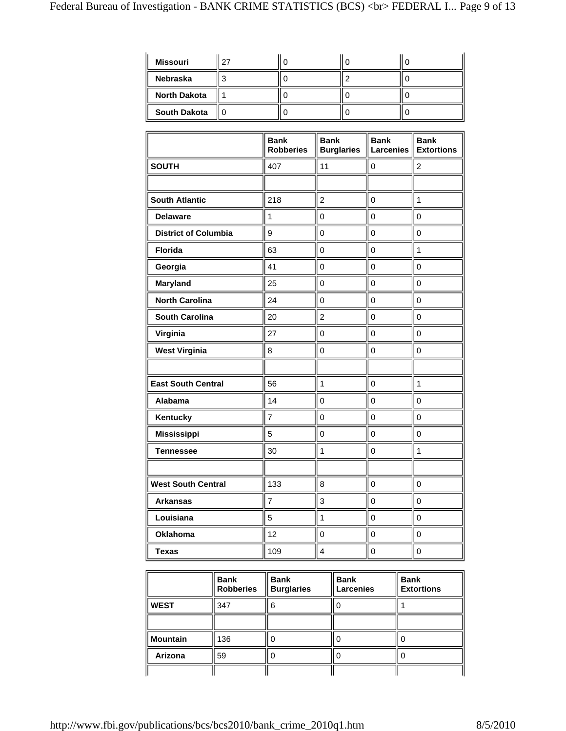| <b>Missouri</b>     | 27 |  |  |
|---------------------|----|--|--|
| <b>Nebraska</b>     |    |  |  |
| <b>North Dakota</b> |    |  |  |
| <b>South Dakota</b> |    |  |  |

|                             | <b>Bank</b><br><b>Robberies</b> | <b>Bank</b><br><b>Burglaries</b> | <b>Bank</b><br><b>Larcenies</b> | <b>Bank</b><br><b>Extortions</b> |
|-----------------------------|---------------------------------|----------------------------------|---------------------------------|----------------------------------|
| <b>SOUTH</b>                | 407                             | 11                               | $\mathbf 0$                     | $\overline{c}$                   |
|                             |                                 |                                  |                                 |                                  |
| <b>South Atlantic</b>       | 218                             | $\overline{2}$                   | $\mathbf 0$                     | $\mathbf{1}$                     |
| <b>Delaware</b>             | 1                               | 0                                | 0                               | $\mathbf 0$                      |
| <b>District of Columbia</b> | 9                               | 0                                | $\mathbf 0$                     | $\mathbf 0$                      |
| <b>Florida</b>              | 63                              | 0                                | $\mathbf 0$                     | $\mathbf{1}$                     |
| Georgia                     | 41                              | $\overline{0}$                   | $\mathbf 0$                     | $\mathbf 0$                      |
| <b>Maryland</b>             | 25                              | $\mathbf 0$                      | $\mathbf 0$                     | $\mathbf 0$                      |
| <b>North Carolina</b>       | 24                              | $\overline{0}$                   | $\mathbf 0$                     | $\mathbf 0$                      |
| <b>South Carolina</b>       | 20                              | $\overline{2}$                   | $\mathbf 0$                     | $\mathbf 0$                      |
| Virginia                    | 27                              | $\overline{0}$                   | $\mathbf 0$                     | $\mathbf 0$                      |
| <b>West Virginia</b>        | 8                               | 0                                | $\mathsf 0$                     | $\mathbf 0$                      |
|                             |                                 |                                  |                                 |                                  |
| <b>East South Central</b>   | 56                              | $\mathbf{1}$                     | $\mathbf 0$                     | $\mathbf{1}$                     |
| Alabama                     | 14                              | 0                                | $\mathbf 0$                     | $\mathbf 0$                      |
| Kentucky                    | $\overline{7}$                  | $\overline{0}$                   | $\mathbf 0$                     | $\mathbf 0$                      |
| <b>Mississippi</b>          | 5                               | 0                                | $\mathbf 0$                     | $\mathbf 0$                      |
| <b>Tennessee</b>            | 30                              | $\mathbf{1}$                     | 0                               | 1                                |
|                             |                                 |                                  |                                 |                                  |
| <b>West South Central</b>   | 133                             | 8                                | $\mathbf 0$                     | $\mathbf 0$                      |
| <b>Arkansas</b>             | 7                               | 3                                | $\mathbf 0$                     | $\pmb{0}$                        |
| Louisiana                   | 5                               | $\mathbf{1}$                     | $\mathbf 0$                     | $\mathbf 0$                      |
| Oklahoma                    | 12                              | 0                                | $\mathsf 0$                     | $\mathbf 0$                      |
| <b>Texas</b>                | 109                             | 4                                | 0                               | $\mathbf 0$                      |

|                 | <b>Bank</b><br><b>Robberies</b> | <b>Bank</b><br><b>Burglaries</b> | <b>Bank</b><br><b>Larcenies</b> | <b>Bank</b><br><b>Extortions</b> |
|-----------------|---------------------------------|----------------------------------|---------------------------------|----------------------------------|
| <b>WEST</b>     | 347                             | 6                                |                                 |                                  |
|                 |                                 |                                  |                                 |                                  |
| <b>Mountain</b> | 136                             |                                  |                                 | U                                |
| Arizona         | 59                              |                                  |                                 | U                                |
|                 |                                 |                                  |                                 |                                  |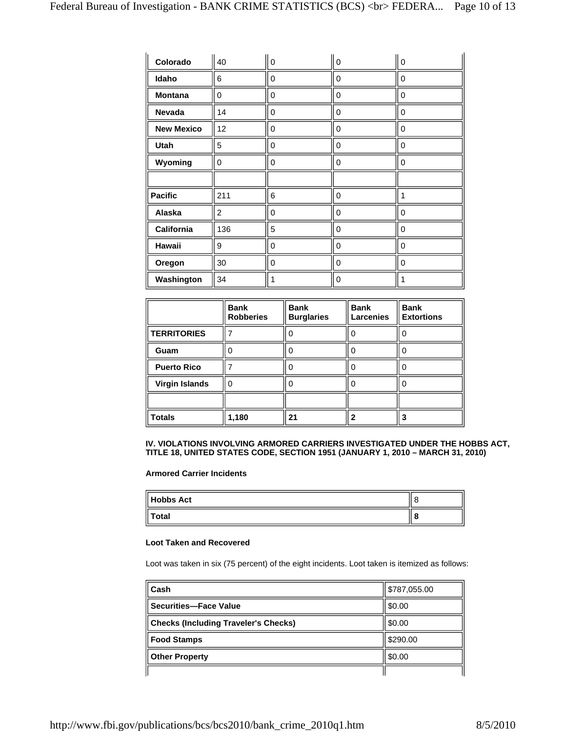| Colorado          | 40             | $\mathbf 0$ | $\mathbf 0$ | $\mathbf 0$    |
|-------------------|----------------|-------------|-------------|----------------|
| Idaho             | 6              | 0           | 0           | 0              |
| <b>Montana</b>    | 0              | 0           | 0           | 0              |
| Nevada            | 14             | 0           | 0           | $\overline{0}$ |
| <b>New Mexico</b> | 12             | 0           | 0           | 0              |
| <b>Utah</b>       | 5              | 0           | 0           | 0              |
| Wyoming           | $\mathbf 0$    | 0           | 0           | $\mathbf 0$    |
|                   |                |             |             |                |
| <b>Pacific</b>    | 211            | 6           | 0           | 1              |
| Alaska            | $\overline{2}$ | 0           | 0           | 0              |
| California        | 136            | 5           | 0           | $\mathbf 0$    |
| Hawaii            | 9              | 0           | 0           | 0              |
| Oregon            | 30             | 0           | $\mathbf 0$ | 0              |
| Washington        | 34             | 1           | 0           | 1              |

|                       | <b>Bank</b><br><b>Robberies</b> | <b>Bank</b><br><b>Burglaries</b> | <b>Bank</b><br><b>Larcenies</b> | <b>Bank</b><br><b>Extortions</b> |
|-----------------------|---------------------------------|----------------------------------|---------------------------------|----------------------------------|
| <b>TERRITORIES</b>    |                                 |                                  |                                 |                                  |
| Guam                  |                                 |                                  |                                 |                                  |
| <b>Puerto Rico</b>    |                                 |                                  |                                 |                                  |
| <b>Virgin Islands</b> | ∩                               |                                  |                                 |                                  |
|                       |                                 |                                  |                                 |                                  |
| <b>Totals</b>         | 1,180                           | 21                               |                                 |                                  |

### **IV. VIOLATIONS INVOLVING ARMORED CARRIERS INVESTIGATED UNDER THE HOBBS ACT, TITLE 18, UNITED STATES CODE, SECTION 1951 (JANUARY 1, 2010 – MARCH 31, 2010)**

**Armored Carrier Incidents**

| <b>Hobbs Act</b> |  |
|------------------|--|
| Total            |  |

### **Loot Taken and Recovered**

Loot was taken in six (75 percent) of the eight incidents. Loot taken is itemized as follows:

| Cash                                        | \$787,055.00 |
|---------------------------------------------|--------------|
| <b>Securities-Face Value</b>                | \$0.00       |
| <b>Checks (Including Traveler's Checks)</b> | \$0.00       |
| <b>Food Stamps</b>                          | \$290.00     |
| <b>Other Property</b>                       | \$0.00       |
|                                             |              |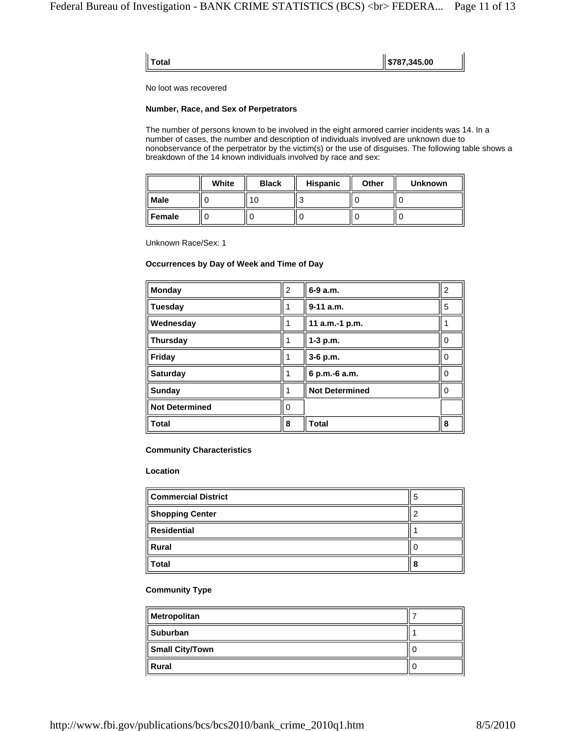| $\parallel$ \$787,345.00<br>Total |  |
|-----------------------------------|--|
|                                   |  |

No loot was recovered

#### **Number, Race, and Sex of Perpetrators**

The number of persons known to be involved in the eight armored carrier incidents was 14. In a number of cases, the number and description of individuals involved are unknown due to nonobservance of the perpetrator by the victim(s) or the use of disguises. The following table shows a breakdown of the 14 known individuals involved by race and sex:

|          | White | <b>Black</b> | <b>Hispanic</b> | <b>Other</b> | <b>Unknown</b> |
|----------|-------|--------------|-----------------|--------------|----------------|
| Male     |       |              |                 |              |                |
| ∥ Female |       |              |                 |              |                |

Unknown Race/Sex: 1

## **Occurrences by Day of Week and Time of Day**

| <b>Monday</b>         | $\overline{2}$ | 6-9 a.m.              | 2        |
|-----------------------|----------------|-----------------------|----------|
| <b>Tuesday</b>        |                | $9-11$ a.m.           | 5        |
| Wednesday             |                | 11 a.m.-1 p.m.        |          |
| <b>Thursday</b>       |                | 1-3 p.m.              | 0        |
| Friday                |                | 3-6 p.m.              | 0        |
| <b>Saturday</b>       |                | 6 p.m.-6 a.m.         | $\Omega$ |
| Sunday                |                | <b>Not Determined</b> | $\Omega$ |
| <b>Not Determined</b> | ი              |                       |          |
| <b>Total</b>          | 8              | <b>Total</b>          | 8        |

#### **Community Characteristics**

## **Location**

| <b>Commercial District</b> | э |
|----------------------------|---|
| <b>Shopping Center</b>     |   |
| <b>Residential</b>         |   |
| <b>Rural</b>               |   |
| <b>Total</b>               | 8 |

### **Community Type**

| Metropolitan           |  |
|------------------------|--|
| <b>Suburban</b>        |  |
| <b>Small City/Town</b> |  |
| Rural                  |  |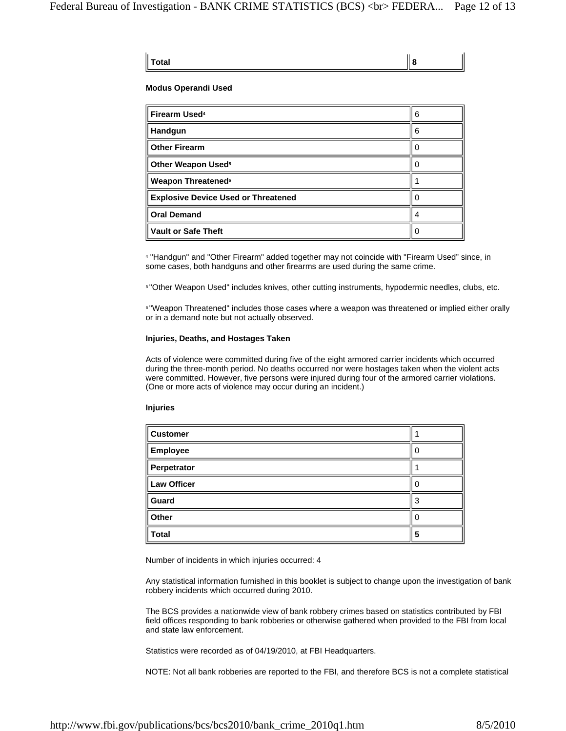| $\parallel$ Total | 8 |
|-------------------|---|
|                   |   |

ī.

#### **Modus Operandi Used**

| Firearm Used <sup>4</sup>                  | 6 |
|--------------------------------------------|---|
| Handgun                                    | 6 |
| <b>Other Firearm</b>                       |   |
| Other Weapon Used <sup>5</sup>             |   |
| <b>Weapon Threatened<sup>6</sup></b>       |   |
| <b>Explosive Device Used or Threatened</b> |   |
| <b>Oral Demand</b>                         |   |
| <b>Vault or Safe Theft</b>                 |   |

4 "Handgun" and "Other Firearm" added together may not coincide with "Firearm Used" since, in some cases, both handguns and other firearms are used during the same crime.

5 "Other Weapon Used" includes knives, other cutting instruments, hypodermic needles, clubs, etc.

**<sup>6</sup> "Weapon Threatened"** includes those cases where a weapon was threatened or implied either orally or in a demand note but not actually observed.

#### **Injuries, Deaths, and Hostages Taken**

Acts of violence were committed during five of the eight armored carrier incidents which occurred during the three-month period. No deaths occurred nor were hostages taken when the violent acts were committed. However, five persons were injured during four of the armored carrier violations. (One or more acts of violence may occur during an incident.)

#### **Injuries**

| <b>Customer</b>    |   |
|--------------------|---|
| Employee           | 0 |
| Perpetrator        |   |
| <b>Law Officer</b> | 0 |
| Guard              | 3 |
| Other              | 0 |
| <b>Total</b>       | 5 |

Number of incidents in which injuries occurred: 4

Any statistical information furnished in this booklet is subject to change upon the investigation of bank robbery incidents which occurred during 2010.

The BCS provides a nationwide view of bank robbery crimes based on statistics contributed by FBI field offices responding to bank robberies or otherwise gathered when provided to the FBI from local and state law enforcement.

Statistics were recorded as of 04/19/2010, at FBI Headquarters.

NOTE: Not all bank robberies are reported to the FBI, and therefore BCS is not a complete statistical